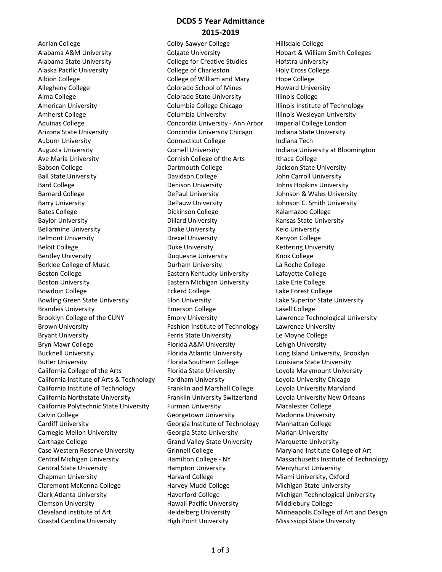## **DCDS 5 Year Admittance 2015‐2019**

Adrian College Colby-Sawyer College Hillsdale College Alabama A&M University Colgate University Hobart & William Smith Colleges Alabama State University College for Creative Studies Hofstra University Alaska Pacific University College of Charleston Holy Cross College Albion College **College College College** College of William and Mary Hope College Allegheny College **Colorado School of Mines** Howard University Alma College **Colorado State University** Illinois College American University **Columbia College Chicago** Illinois Institute of Technology Amherst College The Columbia University The Columbia University Columbia University Columbia University Columbia University Aquinas College Concordia University - Ann Arbor Imperial College London Arizona State University Concordia University Chicago Indiana State University Auburn University **Connecticut College** and Indiana Tech Augusta University Cornell University Indiana University at Bloomington Ave Maria University **Cornish College of the Arts** Ithaca College Babson College The College Dartmouth College The Jackson State University Ball State University Davidson College John Carroll University Bard College Denison University Johns Hopkins University Barnard College **DePaul University** DePaul University Johnson & Wales University Barry University DePauw University Johnson C. Smith University Bates College **Dickinson College** College **Research College** Radamazoo College Baylor University **Dillard University Communisty** Kansas State University Bellarmine University **State Example 20** Drake University **Keio University** Belmont University Drexel University Kenyon College Beloit College **Duke University College Reloit College College Duke University College Religions College College College College College College College College College College College C** Bentley University **Example 20 Follow College** Duquesne University **Knox College** Berklee College of Music Durham University La Roche College Boston College The Eastern Kentucky University Lafayette College Boston University Eastern Michigan University Lake Erie College Bowdoin College The Eckerd College The Lake Forest College College College Lake Forest College Bowling Green State University Elon University Lake Superior State University Brandeis University Emerson College Lasell College Brooklyn College of the CUNY Emory University Lawrence Technological University Brown University The State of Technology Lawrence University Bryant University Ferris State University Le Moyne College Bryn Mawr College Florida A&M University Lehigh University Bucknell University Florida Atlantic University Long Island University, Brooklyn Butler University **Florida Southern College** Louisiana State University **College** Louisiana State University California College of the Arts **Florida State University** Loyola Marymount University California Institute of Arts & Technology Fordham University **Loyola University Chicago** California Institute of Technology Franklin and Marshall College Loyola University Maryland California Northstate University Franklin University Switzerland Loyola University New Orleans California Polytechnic State University Furman University Macalester College Calvin College The Georgetown University The Madonna University Cardiff University Georgia Institute of Technology Manhattan College Carnegie Mellon University **Georgia State University** Marian University Carthage College Grand Valley State University Marquette University Case Western Reserve University Grinnell College Maryland Institute College of Art Central State University Hampton University Mercyhurst University Chapman University **Michayle Harvard College** Miami University, Oxford Miami University, Oxford Claremont McKenna College The Harvey Mudd College The Michigan State University Clark Atlanta University The Haverford College Michigan Technological University Clemson University Hawaii Pacific University Middlebury College Coastal Carolina University High Point University Mississippi State University

Central Michigan University **Hamilton College - NY** Massachusetts Institute of Technology Cleveland Institute of Art **Heidelberg University** Minneapolis College of Art and Design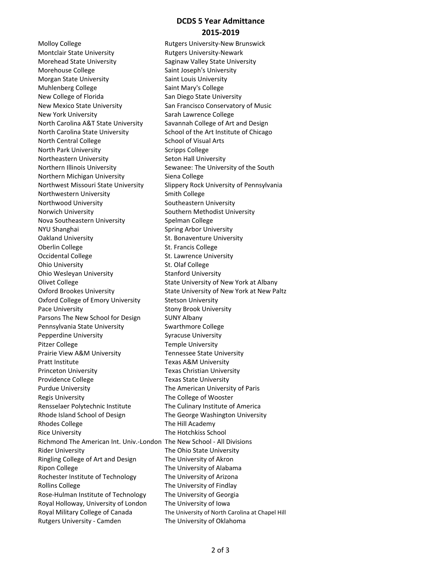## **DCDS 5 Year Admittance 2015‐2019**

Molloy College **Rutgers University-New Brunswick** Montclair State University **Rutgers University-Newark** Morehead State University **Saginaw Valley State University** Morehouse College Saint Joseph's University Morgan State University **Saint Louis University** Muhlenberg College Saint Mary's College New College of Florida San Diego State University New Mexico State University San Francisco Conservatory of Music New York University **Sarah Lawrence College** North Carolina A&T State University Savannah College of Art and Design North Carolina State University School of the Art Institute of Chicago North Central College School of Visual Arts North Park University **Scripps College** Scripps College Northeastern University **Seton Hall University** Northern Illinois University Sewanee: The University of the South Northern Michigan University Siena College Northwest Missouri State University Slippery Rock University of Pennsylvania Northwestern University **Smith College** Northwood University **Southeastern University** Norwich University **Norwich University** Southern Methodist University Nova Southeastern University Spelman College NYU Shanghai Spring Arbor University Oakland University **St. Bonaventure University** Oberlin College St. Francis College Occidental College The St. Lawrence University Ohio University **St. Olaf College** Ohio Wesleyan University **Stanford University** Olivet College The State University of New York at Albany Oxford Brookes University State University of New York at New Paltz Oxford College of Emory University Stetson University Pace University **National Stony Brook University** Parsons The New School for Design SUNY Albany Pennsylvania State University **Swarthmore College** Pepperdine University **Syracuse University** Pitzer College Temple University Prairie View A&M University Tennessee State University Pratt Institute Texas A&M University Princeton University **Texas Christian University** Providence College Texas State University Purdue University The American University of Paris Regis University **The College of Wooster** Rensselaer Polytechnic Institute The Culinary Institute of America Rhode Island School of Design The George Washington University Rhodes College The Hill Academy Rice University The Hotchkiss School Richmond The American Int. Univ.‐London The New School ‐ All Divisions Rider University The Ohio State University Ringling College of Art and Design The University of Akron Ripon College The University of Alabama Rochester Institute of Technology The University of Arizona Rollins College The University of Findlay Rose-Hulman Institute of Technology The University of Georgia Royal Holloway, University of London The University of Iowa Royal Military College of Canada The University of North Carolina at Chapel Hill Rutgers University - Camden The University of Oklahoma